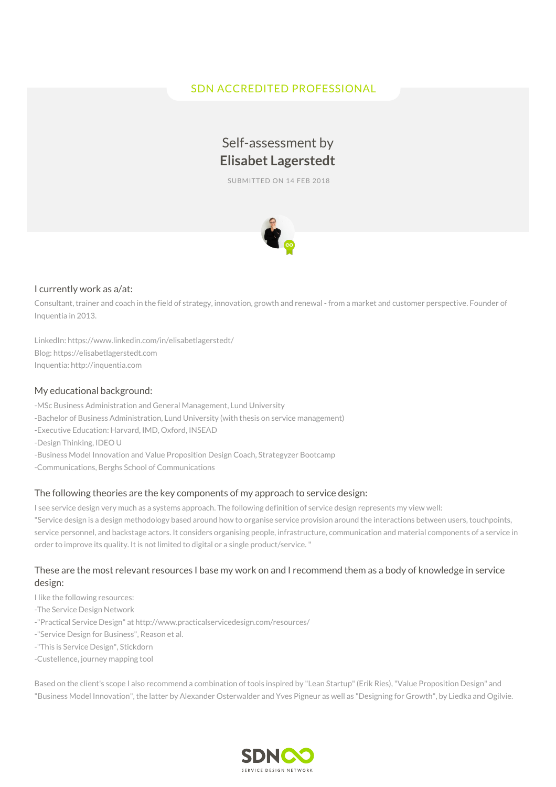# SDN ACCREDITED PROFESSIONAL

# Self-assessment by **Elisabet Lagerstedt**

SUBMITTED ON 14 FEB 2018



#### I currently work as a/at:

Consultant, trainer and coach in the field of strategy, innovation, growth and renewal - from a market and customer perspective. Founder of Inquentia in 2013.

LinkedIn: https://www.linkedin.com/in/elisabetlagerstedt/ Blog: https://elisabetlagerstedt.com Inquentia: http://inquentia.com

#### My educational background:

-MSc Business Administration and General Management, Lund University -Bachelor of Business Administration, Lund University (with thesis on service management) -Executive Education: Harvard, IMD, Oxford, INSEAD -Design Thinking, IDEO U -Business Model Innovation and Value Proposition Design Coach, Strategyzer Bootcamp -Communications, Berghs School of Communications

#### The following theories are the key components of my approach to service design:

I see service design very much as a systems approach. The following definition of service design represents my view well: "Service design is a design methodology based around how to organise service provision around the interactions between users, touchpoints, service personnel, and backstage actors. It considers organising people, infrastructure, communication and material components of a service in order to improve its quality. It is not limited to digital or a single product/service."

# These are the most relevant resources I base my work on and I recommend them as a body of knowledge in service design:

- I like the following resources:
- -The Service Design Network
- -"Practical Service Design" at http://www.practicalservicedesign.com/resources/
- -"Service Design for Business", Reason et al.
- -"This is Service Design", Stickdorn
- -Custellence, journey mapping tool

Based on the client's scope I also recommend a combination of tools inspired by "Lean Startup"(Erik Ries),"Value Proposition Design" and "Business Model Innovation", the latter by Alexander Osterwalder and Yves Pigneur as well as "Designing for Growth", by Liedka and Ogilvie.

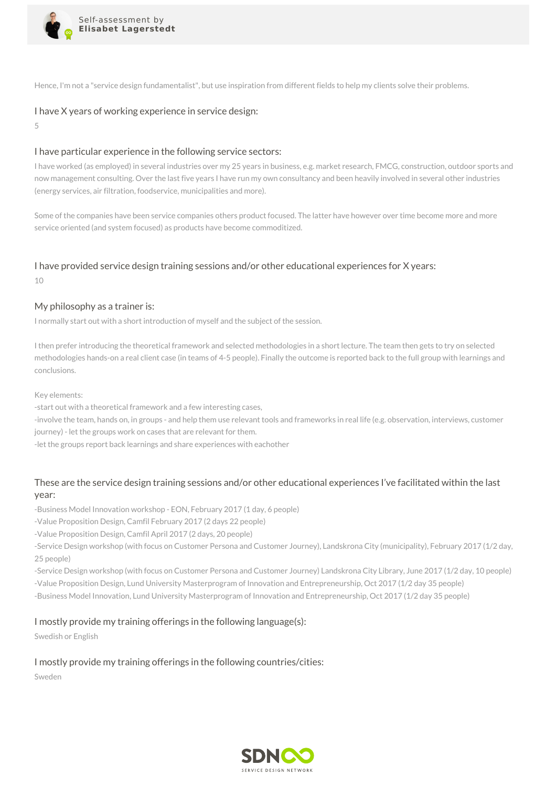

Hence, I'm not a "service design fundamentalist", but use inspiration from different fields to help my clients solve their problems.

#### I have X years of working experience in service design:

5

#### I have particular experience in the following service sectors:

I have worked (as employed) in several industries over my 25 years in business, e.g. market research, FMCG, construction, outdoor sports and now management consulting. Over the last five years I have run my own consultancy and been heavily involved in several other industries (energy services, air filtration, foodservice, municipalities and more).

Some of the companies have been service companies others product focused. The latter have however over time become more and more service oriented (and system focused) as products have become commoditized.

# I have provided service design training sessions and/or other educational experiences for X years:

10

#### My philosophy as a trainer is:

I normally start out with a short introduction of myself and the subject of the session.

I then prefer introducing the theoretical framework and selected methodologies in a short lecture. The team then gets to try on selected methodologies hands-on a real client case (in teams of 4-5 people). Finally the outcome is reported back to the full group with learnings and conclusions.

Key elements:

-start out with a theoretical framework and a few interesting cases,

-involve the team, hands on, in groups - and help them use relevant tools and frameworks in real life (e.g. observation, interviews, customer journey) - let the groups work on cases that are relevant for them.

-let the groups report back learnings and share experiences with eachother

# These are the service design training sessions and/or other educational experiences I've facilitated within the last year:

-Business Model Innovation workshop - EON, February 2017 (1 day, 6 people)

-Value Proposition Design, Camfil February 2017 (2 days 22 people)

-Value Proposition Design, Camfil April 2017 (2 days, 20 people)

-Service Design workshop (with focus on Customer Persona and Customer Journey), Landskrona City (municipality), February 2017 (1/2 day, 25 people)

-Service Design workshop (with focus on Customer Persona and Customer Journey) Landskrona City Library, June 2017 (1/2 day, 10 people) -Value Proposition Design, Lund University Masterprogram of Innovation and Entrepreneurship, Oct 2017 (1/2 day 35 people) -Business Model Innovation, Lund University Masterprogram of Innovation and Entrepreneurship, Oct 2017 (1/2 day 35 people)

# I mostly provide my training offerings in the following language(s):

Swedish or English

# I mostly provide my training offerings in the following countries/cities:

Sweden

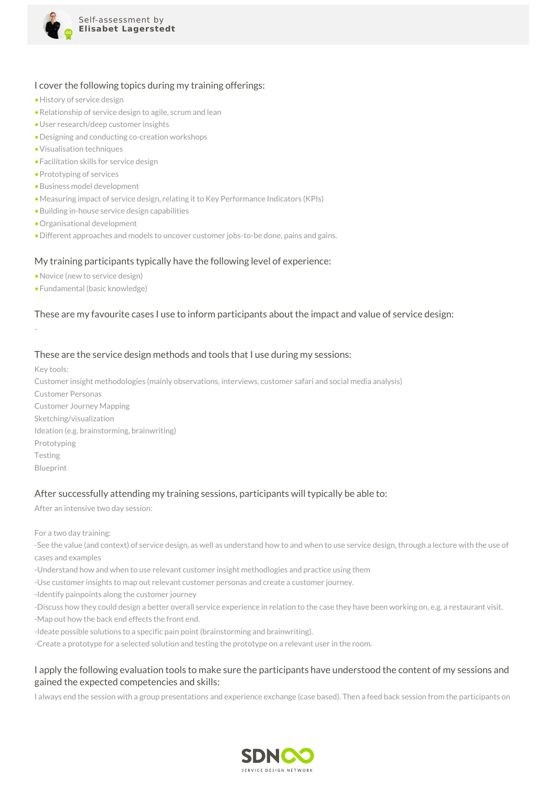

#### I cover the following topics during my training offerings:

- •History of service design
- •Relationship of service design to agile, scrum and lean
- •User research/deep customer insights
- •Designing and conducting co-creation workshops
- •Visualisation techniques
- •Facilitation skills for service design
- •Prototyping of services
- •Business model development
- •Measuring impact of service design, relating it to Key Performance Indicators (KPIs)
- •Building in-house service design capabilities
- •Organisational development
- •Different approaches and models to uncover customer jobs-to-be done, pains and gains.

#### My training participants typically have the following level of experience:

- •Novice (new to service design)
- •Fundamental (basic knowledge)

# These are my favourite cases I use to inform participants about the impact and value of service design:

-

#### These are the service design methods and tools that I use during my sessions:

Key tools:

Customer insight methodologies (mainly observations, interviews, customer safari and social media analysis)

Customer Personas Customer Journey Mapping Sketching/visualization Ideation (e.g. brainstorming, brainwriting) Prototyping Testing Blueprint

# After successfully attending my training sessions, participants will typically be able to:

After an intensive two day session:

For a two day training:

-See the value (and context) of service design, as well as understand how to and when to use service design, through a lecture with the use of cases and examples

- -Understand how and when to use relevant customer insight methodlogies and practice using them
- -Use customer insights to map out relevant customer personas and create a customer journey.
- -Identify painpoints along the customer journey

-Discuss how they could design a better overall service experience in relation to the case they have been working on, e.g. a restaurant visit.

-Map out how the back end effects the front end.

-Ideate possible solutions to a specific pain point (brainstorming and brainwriting).

-Create a prototype for a selected solution and testing the prototype on a relevant user in the room.

#### I apply the following evaluation tools to make sure the participants have understood the content of my sessions and gained the expected competencies and skills:

I always end the session with a group presentations and experience exchange (case based). Then a feed back session from the participants on